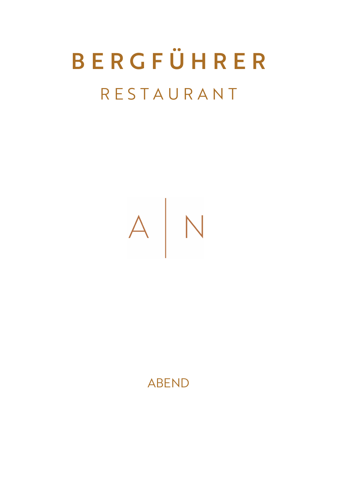# B E R G F Ü H R E R R E S T A U R A N T



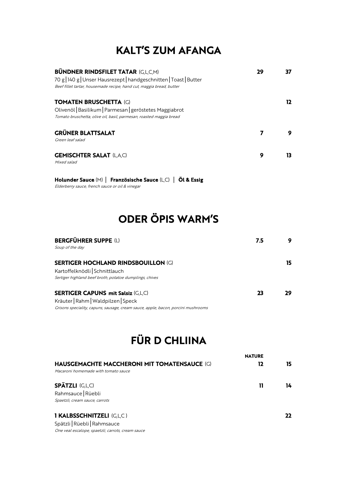#### KALT'S ZUM AFANGA

| 29 |    |
|----|----|
|    | 12 |
|    |    |
| 9  | 13 |
|    |    |

Holunder Sauce (M) | Französische Sauce (L,C) | Öl & Essig Elderberry sauce, french sauce or oil & vinegar

## ODER ÖPIS WARM'S

| <b>BERGFÜHRER SUPPE (L)</b>                                                       |    |
|-----------------------------------------------------------------------------------|----|
| Soup of the day                                                                   |    |
| <b>SERTIGER HOCHLAND RINDSBOUILLON (G)</b>                                        | 15 |
| Kartoffelknödli Schnittlauch                                                      |    |
| Sertiger highland beef broth, potatoe dumplings, chives                           |    |
| <b>SERTIGER CAPUNS mit Salsiz (G,L,C)</b>                                         | סכ |
| Kräuter   Rahm   Waldpilzen   Speck                                               |    |
| Grisons speciality, capuns, sausage, cream sauce, apple, bacon, porcini mushrooms |    |

### FÜR D CHLIINA

|                                                     | <b>NATURE</b> |    |
|-----------------------------------------------------|---------------|----|
| <b>HAUSGEMACHTE MACCHERONI MIT TOMATENSAUCE (G)</b> | 12            | 15 |
| Macaroni homemade with tomato sauce                 |               |    |
| <b>SPÄTZLI (G,L,C)</b>                              | 11            | 14 |
| Rahmsauce Rüebli                                    |               |    |
| Spaetzli, cream sauce, carrots                      |               |    |
| <b>I KALBSSCHNITZELI (G,L,C)</b>                    |               |    |

Spätzli Rüebli Rahmsauce One veal escalope, spaetzli, carrots, cream sauce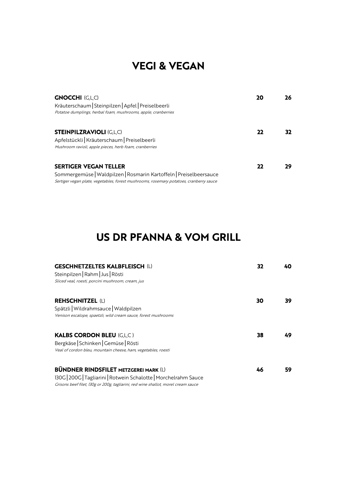#### VEGI & VEGAN

| <b>GNOCCHI (G,L,C)</b><br>Kräuterschaum Steinpilzen Apfel Preiselbeerli<br>Potatoe dumplings, herbal foam, mushrooms, apple, cranberries                                                     |  |
|----------------------------------------------------------------------------------------------------------------------------------------------------------------------------------------------|--|
| <b>STEINPILZRAVIOLI (G,L,C)</b><br>Apfelstückli Kräuterschaum   Preiselbeerli<br>Mushroom ravioli, apple pieces, herb foam, cranberries                                                      |  |
| <b>SERTIGER VEGAN TELLER</b><br>Sommergemüse   Waldpilzen   Rosmarin Kartoffeln   Preiselbeersauce<br>Sertiger vegan plate, vegetables, forest mushrooms, rosemary potatoes, cranberry sauce |  |

#### US DR PFANNA & VOM GRILL

| <b>GESCHNETZELTES KALBFLEISCH (L)</b><br>Steinpilzen   Rahm   Jus   Rösti<br>Sliced veal, roesti, porcini mushroom, cream, jus |    |    |
|--------------------------------------------------------------------------------------------------------------------------------|----|----|
| <b>REHSCHNITZEL (L)</b><br>Spätzli   Wildrahmsauce   Waldpilzen                                                                | 30 | 39 |
| Venison escalope, spaetzli, wild cream sauce, forest mushrooms                                                                 |    |    |
| <b>KALBS CORDON BLEU (G,L,C)</b>                                                                                               | 38 | 49 |
| Bergkäse   Schinken   Gemüse   Rösti                                                                                           |    |    |
| Veal of cordon bleu, mountain cheese, ham, vegetables, roesti                                                                  |    |    |
| <b>BÜNDNER RINDSFILET METZGEREI MARK (L)</b>                                                                                   | 46 | 59 |
| 130G   200G   Tagliarini   Rotwein Schalotte   Morchelrahm Sauce                                                               |    |    |
| Grisons beef filet, 130g or 200g, tagliarini, red wine shallot, morel cream sauce                                              |    |    |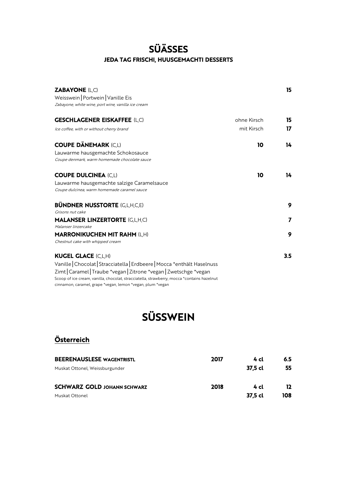#### **SÜÄSSES JEDA TAG FRISCHI, HUUSGEMACHTI DESSERTS**

| <b>ZABAYONE (L,C)</b><br>Weisswein   Portwein   Vanille Eis<br>Zabayone, white wine, port wine, vanilla ice cream                                        | 15  |
|----------------------------------------------------------------------------------------------------------------------------------------------------------|-----|
|                                                                                                                                                          |     |
| <b>GESCHLAGENER EISKAFFEE (L,C)</b><br>ohne Kirsch                                                                                                       | 15  |
| mit Kirsch<br>Ice coffee, with or without cherry brand                                                                                                   | 17  |
| <b>COUPE DÄNEMARK (C,L)</b><br>10                                                                                                                        | 14  |
| Lauwarme hausgemachte Schokosauce                                                                                                                        |     |
| Coupe denmark, warm homemade chocolate sauce                                                                                                             |     |
| <b>COUPE DULCINEA (C,L)</b><br>10                                                                                                                        | 14  |
| Lauwarme hausgemachte salzige Caramelsauce                                                                                                               |     |
| Coupe dulcinea, warm homemade caramel sauce                                                                                                              |     |
| <b>BÜNDNER NUSSTORTE (G,L,H,C,E)</b>                                                                                                                     | 9   |
| Grisons nut cake                                                                                                                                         |     |
| <b>MALANSER LINZERTORTE (G,L,H,C)</b>                                                                                                                    | 7   |
| Malanser linzercake                                                                                                                                      |     |
| <b>MARRONIKUCHEN MIT RAHM (L,H)</b>                                                                                                                      | 9   |
| Chestnut cake with whipped cream                                                                                                                         |     |
| <b>KUGEL GLACE (C,L,H)</b>                                                                                                                               | 3.5 |
| Vanille   Chocolat   Stracciatella   Erdbeere   Mocca *enthält Haselnuss                                                                                 |     |
| Zimt   Caramel   Traube *vegan   Zitrone *vegan   Zwetschge *vegan                                                                                       |     |
| Scoop of ice cream, vanilla, chocolat, stracciatella, strawberry, mocca *contains hazelnut<br>cinnamon, caramel, grape *vegan, lemon *vegan, plum *vegan |     |

## **SÜSSWEIN**

#### Österreich

| <b>BEERENAUSLESE WAGENTRISTL</b>   | 2017 | 4 cl    | 6.5 |
|------------------------------------|------|---------|-----|
| Muskat Ottonel, Weissburgunder     |      | 37.5 cl | 55  |
| <b>SCHWARZ GOLD JOHANN SCHWARZ</b> | 2018 | 4 cl    | 12  |
| Muskat Ottonel                     |      | 37,5 cl | 108 |